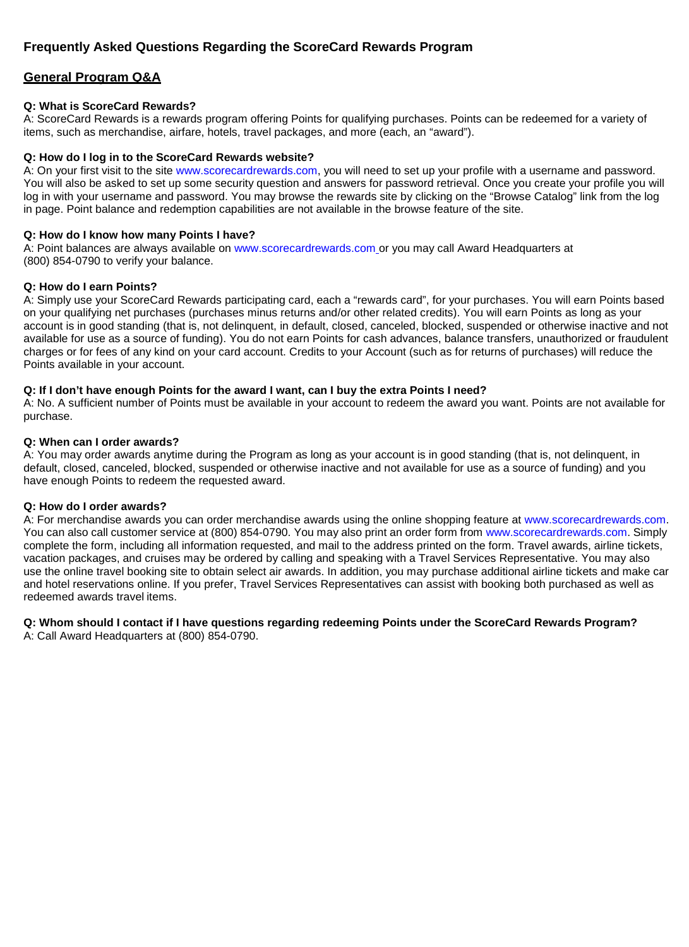# **Frequently Asked Questions Regarding the ScoreCard Rewards Program**

# **General Program Q&A**

# **Q: What is ScoreCard Rewards?**

A: ScoreCard Rewards is a rewards program offering Points for qualifying purchases. Points can be redeemed for a variety of items, such as merchandise, airfare, hotels, travel packages, and more (each, an "award").

### **Q: How do I log in to the ScoreCard Rewards website?**

A: On your first visit to the site [www.scorecardrewards.com,](http://www.scorecardrewards.com/) you will need to set up your profile with a username and password. You will also be asked to set up some security question and answers for password retrieval. Once you create your profile you will log in with your username and password. You may browse the rewards site by clicking on the "Browse Catalog" link from the log in page. Point balance and redemption capabilities are not available in the browse feature of the site.

### **Q: How do I know how many Points I have?**

A: Point balances are always available on [www.scorecardrewards.com](http://www.scorecardrewards.com/) or you may call Award Headquarters at (800) 854-0790 to verify your balance.

### **Q: How do I earn Points?**

A: Simply use your ScoreCard Rewards participating card, each a "rewards card", for your purchases. You will earn Points based on your qualifying net purchases (purchases minus returns and/or other related credits). You will earn Points as long as your account is in good standing (that is, not delinquent, in default, closed, canceled, blocked, suspended or otherwise inactive and not available for use as a source of funding). You do not earn Points for cash advances, balance transfers, unauthorized or fraudulent charges or for fees of any kind on your card account. Credits to your Account (such as for returns of purchases) will reduce the Points available in your account.

### **Q: If I don't have enough Points for the award I want, can I buy the extra Points I need?**

A: No. A sufficient number of Points must be available in your account to redeem the award you want. Points are not available for purchase.

### **Q: When can I order awards?**

A: You may order awards anytime during the Program as long as your account is in good standing (that is, not delinquent, in default, closed, canceled, blocked, suspended or otherwise inactive and not available for use as a source of funding) and you have enough Points to redeem the requested award.

#### **Q: How do I order awards?**

A: For merchandise awards you can order merchandise awards using the online shopping feature at [www.scorecardrewards.com.](http://www.scorecardrewards.com/) You can also call customer service at (800) 854-0790. You may also print an order form from [www.scorecardrewards.com.](http://www.scorecardrewards.com/) Simply complete the form, including all information requested, and mail to the address printed on the form. Travel awards, airline tickets, vacation packages, and cruises may be ordered by calling and speaking with a Travel Services Representative. You may also use the online travel booking site to obtain select air awards. In addition, you may purchase additional airline tickets and make car and hotel reservations online. If you prefer, Travel Services Representatives can assist with booking both purchased as well as redeemed awards travel items.

#### **Q: Whom should I contact if I have questions regarding redeeming Points under the ScoreCard Rewards Program?** A: Call Award Headquarters at (800) 854-0790.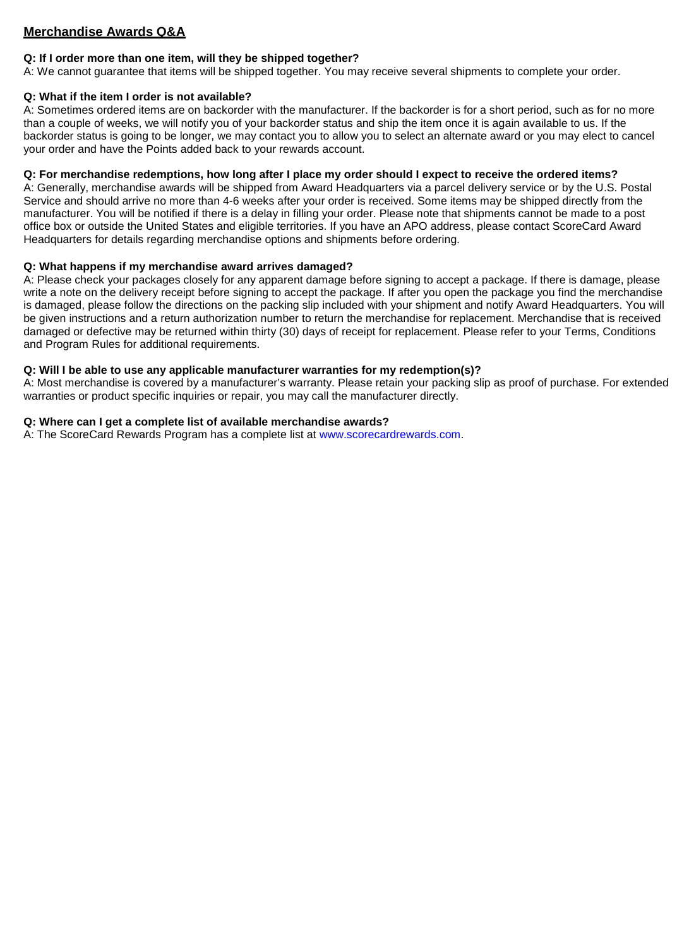# **Merchandise Awards Q&A**

# **Q: If I order more than one item, will they be shipped together?**

A: We cannot guarantee that items will be shipped together. You may receive several shipments to complete your order.

### **Q: What if the item I order is not available?**

A: Sometimes ordered items are on backorder with the manufacturer. If the backorder is for a short period, such as for no more than a couple of weeks, we will notify you of your backorder status and ship the item once it is again available to us. If the backorder status is going to be longer, we may contact you to allow you to select an alternate award or you may elect to cancel your order and have the Points added back to your rewards account.

### **Q: For merchandise redemptions, how long after I place my order should I expect to receive the ordered items?**

A: Generally, merchandise awards will be shipped from Award Headquarters via a parcel delivery service or by the U.S. Postal Service and should arrive no more than 4-6 weeks after your order is received. Some items may be shipped directly from the manufacturer. You will be notified if there is a delay in filling your order. Please note that shipments cannot be made to a post office box or outside the United States and eligible territories. If you have an APO address, please contact ScoreCard Award Headquarters for details regarding merchandise options and shipments before ordering.

### **Q: What happens if my merchandise award arrives damaged?**

A: Please check your packages closely for any apparent damage before signing to accept a package. If there is damage, please write a note on the delivery receipt before signing to accept the package. If after you open the package you find the merchandise is damaged, please follow the directions on the packing slip included with your shipment and notify Award Headquarters. You will be given instructions and a return authorization number to return the merchandise for replacement. Merchandise that is received damaged or defective may be returned within thirty (30) days of receipt for replacement. Please refer to your Terms, Conditions and Program Rules for additional requirements.

### **Q: Will I be able to use any applicable manufacturer warranties for my redemption(s)?**

A: Most merchandise is covered by a manufacturer's warranty. Please retain your packing slip as proof of purchase. For extended warranties or product specific inquiries or repair, you may call the manufacturer directly.

### **Q: Where can I get a complete list of available merchandise awards?**

A: The ScoreCard Rewards Program has a complete list at [www.scorecardrewards.com.](http://www.scorecardrewards.com/)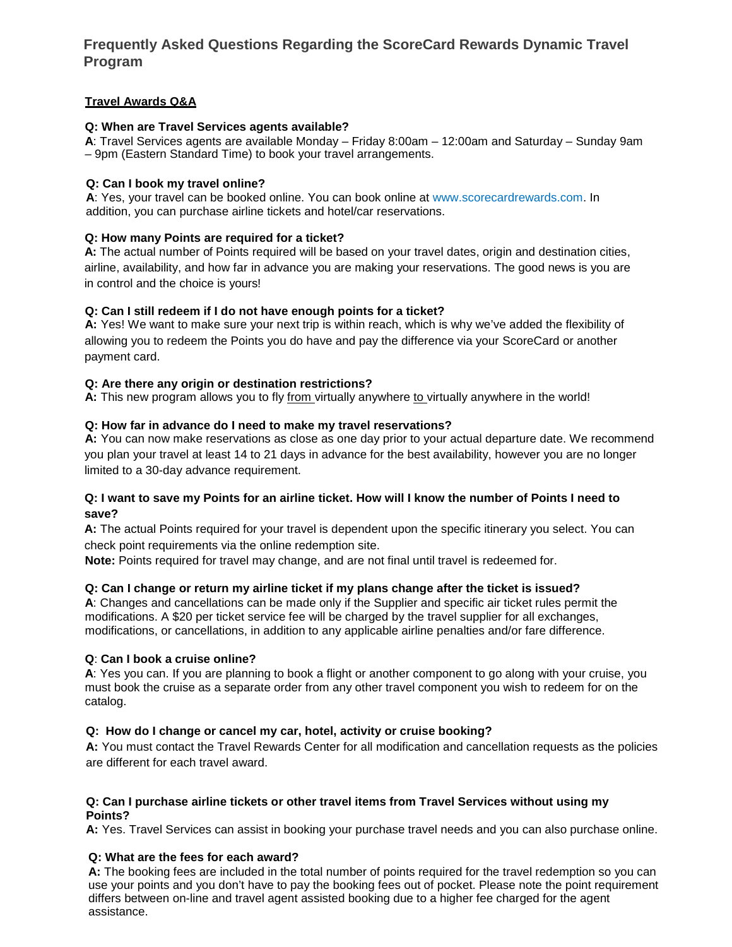# **Frequently Asked Questions Regarding the ScoreCard Rewards Dynamic Travel Program**

# **Travel Awards Q&A**

### **Q: When are Travel Services agents available?**

**A**: Travel Services agents are available Monday – Friday 8:00am – 12:00am and Saturday – Sunday 9am – 9pm (Eastern Standard Time) to book your travel arrangements.

### **Q: Can I book my travel online?**

**A**: Yes, your travel can be booked online. You can book online at [www.scorecardrewards.com. In](http://www.scorecardrewards.com/) addition, you can purchase airline tickets and hotel/car reservations.

### **Q: How many Points are required for a ticket?**

**A:** The actual number of Points required will be based on your travel dates, origin and destination cities, airline, availability, and how far in advance you are making your reservations. The good news is you are in control and the choice is yours!

# **Q: Can I still redeem if I do not have enough points for a ticket?**

**A:** Yes! We want to make sure your next trip is within reach, which is why we've added the flexibility of allowing you to redeem the Points you do have and pay the difference via your ScoreCard or another payment card.

### **Q: Are there any origin or destination restrictions?**

**A:** This new program allows you to fly from virtually anywhere to virtually anywhere in the world!

### **Q: How far in advance do I need to make my travel reservations?**

**A:** You can now make reservations as close as one day prior to your actual departure date. We recommend you plan your travel at least 14 to 21 days in advance for the best availability, however you are no longer limited to a 30-day advance requirement.

### **Q: I want to save my Points for an airline ticket. How will I know the number of Points I need to save?**

**A:** The actual Points required for your travel is dependent upon the specific itinerary you select. You can check point requirements via the online redemption site.

**Note:** Points required for travel may change, and are not final until travel is redeemed for.

# **Q: Can I change or return my airline ticket if my plans change after the ticket is issued?**

**A**: Changes and cancellations can be made only if the Supplier and specific air ticket rules permit the modifications. A \$20 per ticket service fee will be charged by the travel supplier for all exchanges, modifications, or cancellations, in addition to any applicable airline penalties and/or fare difference.

# **Q**: **Can I book a cruise online?**

**A**: Yes you can. If you are planning to book a flight or another component to go along with your cruise, you must book the cruise as a separate order from any other travel component you wish to redeem for on the catalog.

# **Q: How do I change or cancel my car, hotel, activity or cruise booking?**

**A:** You must contact the Travel Rewards Center for all modification and cancellation requests as the policies are different for each travel award.

### **Q: Can I purchase airline tickets or other travel items from Travel Services without using my Points?**

**A:** Yes. Travel Services can assist in booking your purchase travel needs and you can also purchase online.

# **Q: What are the fees for each award?**

**A:** The booking fees are included in the total number of points required for the travel redemption so you can use your points and you don't have to pay the booking fees out of pocket. Please note the point requirement differs between on-line and travel agent assisted booking due to a higher fee charged for the agent assistance.